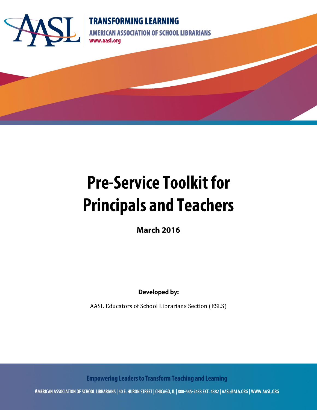

## **TRANSFORMING LEARNING**

**AMERICAN ASSOCIATION OF SCHOOL LIBRARIANS** www.aasl.org

# **Pre-Service Toolkit for Principals and Teachers**

**March 2016** 

**Developed by:** 

AASL Educators of School Librarians Section (ESLS)

**Empowering Leaders to Transform Teaching and Learning** 

AMERICAN ASSOCIATION OF SCHOOL LIBRARIANS | 50 E. HURON STREET | CHICAGO, IL | 800-545-2433 EXT. 4382 | AASL@ALA.ORG | WWW.AASL.ORG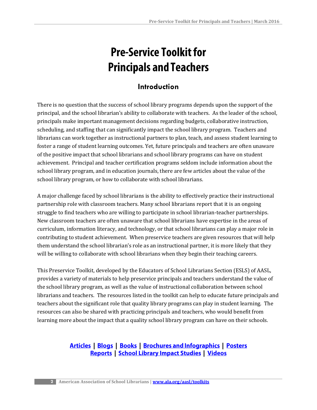## **Pre-Service Toolkit for Principals and Teachers**

## **Introduction**

There is no question that the success of school library programs depends upon the support of the principal, and the school librarian's ability to collaborate with teachers. As the leader of the school, principals make important management decisions regarding budgets, collaborative instruction, scheduling, and staffing that can significantly impact the school library program. Teachers and librarians can work together as instructional partners to plan, teach, and assess student learning to foster a range of student learning outcomes. Yet, future principals and teachers are often unaware of the positive impact that school librarians and school library programs can have on student achievement. Principal and teacher certification programs seldom include information about the school library program, and in education journals, there are few articles about the value of the school library program, or how to collaborate with school librarians.

A major challenge faced by school librarians is the ability to effectively practice their instructional partnership role with classroom teachers. Many school librarians report that it is an ongoing struggle to find teachers who are willing to participate in school librarian-teacher partnerships. New classroom teachers are often unaware that school librarians have expertise in the areas of curriculum, information literacy, and technology, or that school librarians can play a major role in contributing to student achievement. When preservice teachers are given resources that will help them understand the school librarian's role as an instructional partner, it is more likely that they will be willing to collaborate with school librarians when they begin their teaching careers.

This Preservice Toolkit, developed by the Educators of School Librarians Section (ESLS) of AASL, provides a variety of materials to help preservice principals and teachers understand the value of the school library program, as well as the value of instructional collaboration between school librarians and teachers. The resources listed in the toolkit can help to educate future principals and teachers about the significant role that quality library programs can play in student learning. The resources can also be shared with practicing principals and teachers, who would benefit from learning more about the impact that a quality school library program can have on their schools.

### **Articles | Blogs | Books | Brochures and Infographics | Posters Reports | School Library Impact Studies | Videos**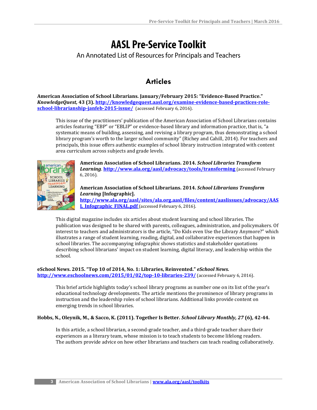## **AASL Pre-Service Toolkit**

An Annotated List of Resources for Principals and Teachers

## **Articles**

**American Association of School Librarians. January/February 2015: "Evidence-Based Practice."** *KnowledgeQuest,* **43 (3). [http://knowledgequest.aasl.org/examine-evidence-based-practices-role](http://knowledgequest.aasl.org/examine-evidence-based-practices-role-school-librarianship-janfeb-2015-issue/)[school-librarianship-janfeb-2015-issue/](http://knowledgequest.aasl.org/examine-evidence-based-practices-role-school-librarianship-janfeb-2015-issue/)** (accessed February 6, 2016).

This issue of the practitioners' publication of the American Association of School Librarians contains articles featuring "EBP" or "EBLIP" or evidence-based library and information practice, that is, "a systematic means of building, assessing, and revising a library program, thus demonstrating a school library program's worth to the larger school community" (Richey and Cahill, 2014). For teachers and principals, this issue offers authentic examples of school library instruction integrated with content area curriculum across subjects and grade levels.



**American Association of School Librarians. 2014.** *School Libraries Transform Learning*. **<http://www.ala.org/aasl/advocacy/tools/transforming>** (accessed February 6, 2016).

#### **American Association of School Librarians. 2014.** *School Librarians Transform Learning* **[Infographic].**

**[http://www.ala.org/aasl/sites/ala.org.aasl/files/content/aaslissues/advocacy/AAS](http://www.ala.org/aasl/sites/ala.org.aasl/files/content/aaslissues/advocacy/AASL_Infographic_FINAL.pdf) [L\\_Infographic\\_FINAL.pdf](http://www.ala.org/aasl/sites/ala.org.aasl/files/content/aaslissues/advocacy/AASL_Infographic_FINAL.pdf)** (accessed February 6, 2016).

This digital magazine includes six articles about student learning and school libraries. The publication was designed to be shared with parents, colleagues, administration, and policymakers. Of interest to teachers and administrators is the article, "Do Kids even Use the Library Anymore?" which illustrates a range of student learning, reading, digital, and collaborative experiences that happen in school libraries. The accompanying infographic shows statistics and stakeholder quotations describing school librarians' impact on student learning, digital literacy, and leadership within the school.

## **eSchool News. 2015. "Top 10 of 2014, No. 1: Libraries, Reinvented."** *eSchool News.*

**<http://www.eschoolnews.com/2015/01/02/top-10-libraries-239/>** (accessed February 6, 2016).

This brief article highlights today's school library programs as number one on its list of the year's educational technology developments. The article mentions the prominence of library programs in instruction and the leadership roles of school librarians. Additional links provide content on emerging trends in school libraries.

#### **Hobbs, N., Oleynik, M., & Sacco, K. (2011). Together Is Better.** *School Library Monthly, 27* **(6), 42-44.**

In this article, a school librarian, a second-grade teacher, and a third-grade teacher share their experiences as a literary team, whose mission is to teach students to become lifelong readers. The authors provide advice on how other librarians and teachers can teach reading collaboratively.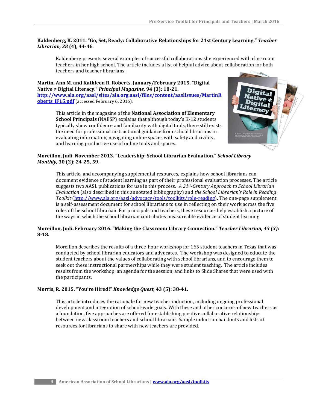#### **Kaldenberg, K. 2011. "Go, Set, Ready: Collaborative Relationships for 21st Century Learning."** *Teacher Librarian, 38* **(4), 44-46**.

Kaldenberg presents several examples of successful collaborations she experienced with classroom teachers in her high school. The article includes a list of helpful advice about collaboration for both teachers and teacher librarians.

**Martin, Ann M. and Kathleen R. Roberts. January/February 2015. "Digital Native ≠ Digital Literacy."** *Principal Magazine,* **94 (3): 18-21. [http://www.ala.org/aasl/sites/ala.org.aasl/files/content/aaslissues/MartinR](http://www.ala.org/aasl/sites/ala.org.aasl/files/content/aaslissues/MartinRoberts_JF15.pdf) oberts JF15.pdf** (accessed February 6, 2016).

> This article in the magazine of the **National Association of Elementary School Principals** (NAESP) explains that although today's K-12 students typically show confidence and familiarity with digital tools, there still exists the need for professional instructional guidance from school librarians in evaluating information, navigating online spaces with safety and civility, and learning productive use of online tools and spaces.



#### **Moreillon, Judi. November 2013. "Leadership: School Librarian Evaluation."** *School Library Monthly,* **30 (2): 24-25, 59.**

This article, and accompanying supplemental resources, explains how school librarians can document evidence of student learning as part of their professional evaluation processes. The article suggests two AASL publications for use in this process*: A 21st-Century Approach to School Librarian Evaluation* (also described in this annotated bibliography) and *the School Librarian's Role in Reading Toolkit* [\(http://www.ala.org/aasl/advocacy/tools/toolkits/role-reading\)](http://www.ala.org/aasl/advocacy/tools/toolkits/role-reading). The one-page supplement is a self-assessment document for school librarians to use in reflecting on their work across the five roles of the school librarian. For principals and teachers, these resources help establish a picture of the ways in which the school librarian contributes measureable evidence of student learning.

#### **Moreillon, Judi. February 2016. "Making the Classroom Library Connection."** *Teacher Librarian, 43 (3):*  **8-18.**

Moreillon describes the results of a three-hour workshop for 165 student teachers in Texas that was conducted by school librarian educators and advocates. The workshop was designed to educate the student teachers about the values of collaborating with school librarians, and to encourage them to seek out these instructional partnerships while they were student teaching. The article includes results from the workshop, an agenda for the session, and links to Slide Shares that were used with the participants.

#### **Morris, R. 2015. "You're Hired!"** *Knowledge Quest,* **43 (5): 38-41.**

This article introduces the rationale for new teacher induction, including ongoing professional development and integration of school-wide goals. With these and other concerns of new teachers as a foundation, five approaches are offered for establishing positive collaborative relationships between new classroom teachers and school librarians. Sample induction handouts and lists of resources for librarians to share with new teachers are provided.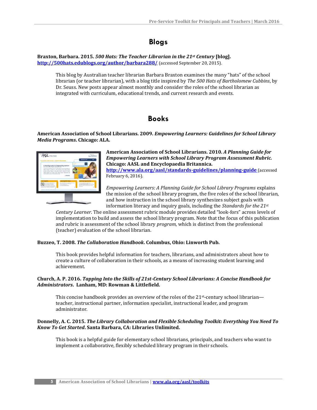## **Blogs**

**Braxton, Barbara. 2015.** *500 Hats: The Teacher Librarian in the 21st Century* **[blog]. <http://500hats.edublogs.org/author/barbara288/>** (accessed September 20, 2015).

This blog by Australian teacher librarian Barbara Braxton examines the many "hats" of the school librarian (or teacher librarian), with a blog title inspired by *The 500 Hats of Bartholomew Cubbins*, by Dr. Seuss. New posts appear almost monthly and consider the roles of the school librarian as integrated with curriculum, educational trends, and current research and events.

## **Books**

**American Association of School Librarians. 2009.** *Empowering Learners: Guidelines for School Library Media Programs***. Chicago: ALA.**



**American Association of School Librarians. 2010.** *A Planning Guide for Empowering Learners with School Library Program Assessment Rubric.* **Chicago: AASL and Encyclopaedia Britannica. <http://www.ala.org/aasl/standards-guidelines/planning-guide>** (accessed February 6, 2016).

*Empowering Learners: A Planning Guide for School Library Programs* explains the mission of the school library program, the five roles of the school librarian, and how instruction in the school library synthesizes subject goals with information literacy and inquiry goals, including the *Standards for the 21st*

*Century Learner*. The online assessment rubric module provides detailed "look-fors" across levels of implementation to build and assess the school library program. Note that the focus of this publication and rubric is assessment of the school library *program*, which is distinct from the professional (teacher) evaluation of the school librarian.

#### **Buzzeo, T. 2008.** *The Collaboration Handbook***. Columbus, Ohio: Linworth Pub.**

This book provides helpful information for teachers, librarians, and administrators about how to create a culture of collaboration in their schools, as a means of increasing student learning and achievement.

#### **Church, A. P. 2016.** *Tapping Into the Skills of 21st-Century School Librarians: A Concise Handbook for Administrators***. Lanham, MD: Rowman & Littlefield.**

This concise handbook provides an overview of the roles of the 21<sup>st</sup>-century school librarian teacher, instructional partner, information specialist, instructional leader, and program administrator.

#### **Donnelly, A. C. 2015.** *The Library Collaboration and Flexible Scheduling Toolkit: Everything You Need To Know To Get Started***. Santa Barbara, CA: Libraries Unlimited.**

This book is a helpful guide for elementary school librarians, principals, and teachers who want to implement a collaborative, flexibly scheduled library program in their schools.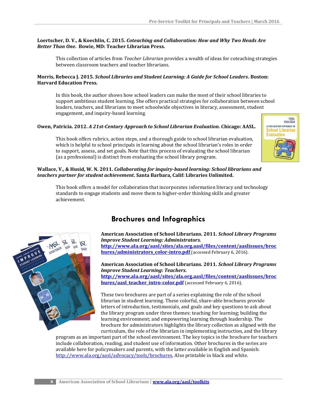#### **Loertscher, D. V., & Koechlin, C. 2015.** *Coteaching and Collaboration: How and Why Two Heads Are Better Than One***. Bowie, MD: Teacher Librarian Press.**

This collection of articles from *Teacher Librarian* provides a wealth of ideas for coteaching strategies between classroom teachers and teacher librarians.

#### **Morris, Rebecca J. 2015.** *School Libraries and Student Learning: A Guide for School Leaders***. Boston: Harvard Education Press.**

In this book*,* the author shows how school leaders can make the most of their school libraries to support ambitious student learning. She offers practical strategies for collaboration between school leaders, teachers, and librarians to meet schoolwide objectives in literacy, assessment, student engagement, and inquiry-based learning.

#### **Owen, Patricia. 2012.** *A 21st-Century Approach to School Librarian Evaluation***. Chicago: AASL.**

This book offers rubrics, action steps, and a thorough guide to school librarian evaluation, which is helpful to school principals in learning about the school librarian's roles in order to support, assess, and set goals. Note that this process of evaluating the school librarian (as a professional) is distinct from evaluating the school library program.

#### **Wallace, V., & Husid, W. N. 2011.** *Collaborating for inquiry-based learning: School librarians and teachers partner for student achievement***. Santa Barbara, Calif: Libraries Unlimited.**

This book offers a model for collaboration that incorporates information literacy and technology standards to engage students and move them to higher-order thinking skills and greater achievement.



## **Brochures and Infographics**

**American Association of School Librarians. 2011.** *School Library Programs Improve Student Learning: Administrators.* **[http://www.ala.org/aasl/sites/ala.org.aasl/files/content/aaslissues/broc](http://www.ala.org/aasl/sites/ala.org.aasl/files/content/aaslissues/brochures/administrators_color-intro.pdf) [hures/administrators\\_color-intro.pdf](http://www.ala.org/aasl/sites/ala.org.aasl/files/content/aaslissues/brochures/administrators_color-intro.pdf)** (accessed February 6, 2016).

**American Association of School Librarians. 2011.** *School Library Programs Improve Student Learning: Teachers.*

**[http://www.ala.org/aasl/sites/ala.org.aasl/files/content/aaslissues/broc](http://www.ala.org/aasl/sites/ala.org.aasl/files/content/aaslissues/brochures/aasl_teacher_intro-color.pdf) [hures/aasl\\_teacher\\_intro-color.pdf](http://www.ala.org/aasl/sites/ala.org.aasl/files/content/aaslissues/brochures/aasl_teacher_intro-color.pdf)** (accessed February 6, 2016).

These two brochures are part of a series explaining the role of the school librarian in student learning. These colorful, share-able brochures provide letters of introduction, testimonials, and goals and key questions to ask about the library program under three themes: teaching for learning; building the learning environment; and empowering learning through leadership. The brochure for administrators highlights the library collection as aligned with the curriculum, the role of the librarian in implementing instruction, and the library

program as an important part of the school environment. The key topics in the brochure for teachers include collaboration, reading, and student use of information. Other brochures in the series are available here for policymakers and parents, with the latter available in English and Spanish: [http://www.ala.org/aasl/advocacy/tools/brochures.](http://www.ala.org/aasl/advocacy/tools/brochures) Also printable in black and white.

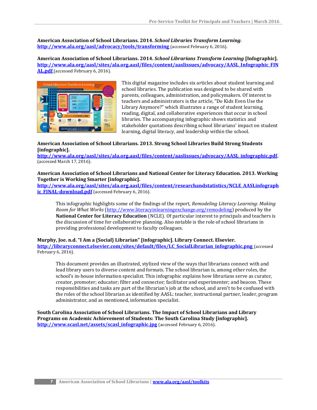**American Association of School Librarians. 2014.** *School Libraries Transform Learning*. **<http://www.ala.org/aasl/advocacy/tools/transforming>** (accessed February 6, 2016).

**American Association of School Librarians. 2014.** *School Librarians Transform Learning* **[Infographic]. [http://www.ala.org/aasl/sites/ala.org.aasl/files/content/aaslissues/advocacy/AASL\\_Infographic\\_FIN](http://www.ala.org/aasl/sites/ala.org.aasl/files/content/aaslissues/advocacy/AASL_Infographic_FINAL.pdf) [AL.pdf](http://www.ala.org/aasl/sites/ala.org.aasl/files/content/aaslissues/advocacy/AASL_Infographic_FINAL.pdf)** (accessed February 6, 2016).



This digital magazine includes six articles about student learning and school libraries. The publication was designed to be shared with parents, colleagues, administration, and policymakers. Of interest to teachers and administrators is the article, "Do Kids Even Use the Library Anymore?" which illustrates a range of student learning, reading, digital, and collaborative experiences that occur in school libraries. The accompanying infographic shows statistics and stakeholder quotations describing school librarians' impact on student learning, digital literacy, and leadership within the school.

#### **American Association of School Librarians. 2013. Strong School Libraries Build Strong Students [infographic].**

**[http://www.ala.org/aasl/sites/ala.org.aasl/files/content/aaslissues/advocacy/AASL\\_infographic.pdf.](http://www.ala.org/aasl/sites/ala.org.aasl/files/content/aaslissues/advocacy/AASL_infographic.pdf)**  (accessed March 17, 2016).

#### **American Association of School Librarians and National Center for Literacy Education. 2013. Working Together is Working Smarter [infographic].**

**[http://www.ala.org/aasl/sites/ala.org.aasl/files/content/researchandstatistics/NCLE\\_AASLinfograph](http://www.ala.org/aasl/sites/ala.org.aasl/files/content/researchandstatistics/NCLE_AASLinfographic_FINAL-download.pdf) [ic\\_FINAL-download.pdf](http://www.ala.org/aasl/sites/ala.org.aasl/files/content/researchandstatistics/NCLE_AASLinfographic_FINAL-download.pdf)** (accessed February 6, 2016).

This infographic highlights some of the findings of the report, *Remodeling Literacy Learning: Making Room for What Works* [\(http://www.literacyinlearningexchange.org/remodeling\)](http://www.literacyinlearningexchange.org/remodeling) produced by the **National Center for Literacy Education** (NCLE). Of particular interest to principals and teachers is the discussion of time for collaborative planning. Also notable is the role of school librarians in providing professional development to faculty colleagues.

#### **Murphy, Joe. n.d. "I Am a {Social} Librarian" [infographic]. Library Connect. Elsevier.**

**[http://libraryconnect.elsevier.com/sites/default/files/LC\\_SocialLibrarian\\_infographic.png](http://libraryconnect.elsevier.com/sites/default/files/LC_SocialLibrarian_infographic.png)** (accessed February 6, 2016).

This document provides an illustrated, stylized view of the ways that librarians connect with and lead library users to diverse content and formats. The school librarian is, among other roles, the school's in-house information specialist. This infographic explains how librarians serve as curator, creator, promoter; educator; filter and connector; facilitator and experimenter; and beacon. These responsibilities and tasks are part of the librarian's job at the school, and aren't to be confused with the roles of the school librarian as identified by AASL: teacher, instructional partner, leader, program administrator, and as mentioned, information specialist.

**South Carolina Association of School Librarians. The Impact of School Librarians and Library Programs on Academic Achievement of Students: The South Carolina Study [infographic]. [http://www.scasl.net/assets/scasl\\_infographic.jpg](http://www.scasl.net/assets/scasl_infographic.jpg)** (accessed February 6, 2016).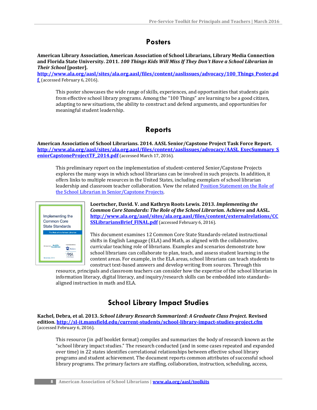## **Posters**

**American Library Association, American Association of School Librarians, Library Media Connection and Florida State University. 2011.** *100 Things Kids Will Miss If They Don't Have a School Librarian in Their School* **[poster].** 

**[http://www.ala.org/aasl/sites/ala.org.aasl/files/content/aaslissues/advocacy/100\\_Things\\_Poster.pd](http://www.ala.org/aasl/sites/ala.org.aasl/files/content/aaslissues/advocacy/100_Things_Poster.pdf) [f](http://www.ala.org/aasl/sites/ala.org.aasl/files/content/aaslissues/advocacy/100_Things_Poster.pdf)** (accessed February 6, 2016).

This poster showcases the wide range of skills, experiences, and opportunities that students gain from effective school library programs. Among the "100 Things" are learning to be a good citizen, adapting to new situations, the ability to construct and defend arguments, and opportunities for meaningful student leadership.

## **Reports**

**American Association of School Librarians. 2014. AASL Senior/Capstone Project Task Force Report. [http://www.ala.org/aasl/sites/ala.org.aasl/files/content/aaslissues/advocacy/AASL\\_ExecSummary\\_S](http://www.ala.org/aasl/sites/ala.org.aasl/files/content/aaslissues/advocacy/AASL_ExecSummary_SeniorCapstoneProjectTF_2014.pdf) [eniorCapstoneProjectTF\\_2014.pdf](http://www.ala.org/aasl/sites/ala.org.aasl/files/content/aaslissues/advocacy/AASL_ExecSummary_SeniorCapstoneProjectTF_2014.pdf)** (accessed March 17, 2016).

This preliminary report on the implementation of student-centered Senior/Capstone Projects explores the many ways in which school librarians can be involved in such projects. In addition, it offers links to multiple resources in the United States, including exemplars of school librarian leadership and classroom teacher collaboration. View the related Position Statement on the Role of [the School Librarian in Senior/Capstone Projects.](http://www.ala.org/aasl/advocacy/resources/statements/capstone)



**Loertscher, David. V. and Kathryn Roots Lewis. 2013.** *Implementing the Common Core Standards: The Role of the School Librarian.* **Achieve and AASL. [http://www.ala.org/aasl/sites/ala.org.aasl/files/content/externalrelations/CC](http://www.ala.org/aasl/sites/ala.org.aasl/files/content/externalrelations/CCSSLibrariansBrief_FINAL.pdf) [SSLibrariansBrief\\_FINAL.pdf](http://www.ala.org/aasl/sites/ala.org.aasl/files/content/externalrelations/CCSSLibrariansBrief_FINAL.pdf)** (accessed February 6, 2016).

This document examines 12 Common Core State Standards-related instructional shifts in English Language (ELA) and Math, as aligned with the collaborative, curricular teaching role of librarians. Examples and scenarios demonstrate how school librarians can collaborate to plan, teach, and assess student learning in the content areas. For example, in the ELA areas, school librarians can teach students to construct text-based answers and develop writing from sources. Through this

resource, principals and classroom teachers can consider how the expertise of the school librarian in information literacy, digital literacy, and inquiry/research skills can be embedded into standardsaligned instruction in math and ELA.

## **School Library Impact Studies**

**Kachel, Debra, et al. 2013.** *School Library Research Summarized: A Graduate Class Project.* **Revised edition[. http://sl-it.mansfield.edu/current-students/school-library-impact-studies-project.cfm](http://sl-it.mansfield.edu/current-students/school-library-impact-studies-project.cfm)** (accessed February 6, 2016).

This resource (in .pdf booklet format) compiles and summarizes the body of research known as the "school library impact studies." The research conducted (and in some cases repeated and expanded over time) in 22 states identifies correlational relationships between effective school library programs and student achievement. The document reports common attributes of successful school library programs. The primary factors are staffing, collaboration, instruction, scheduling, access,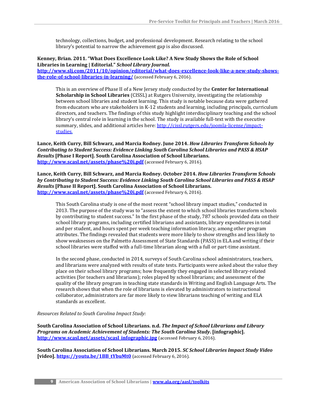technology, collections, budget, and professional development. Research relating to the school library's potential to narrow the achievement gap is also discussed.

#### **Kenney, Brian. 2011. "What Does Excellence Look Like? A New Study Shows the Role of School Libraries in Learning | Editorial."** *School Library Journal.*

**[http://www.slj.com/2011/10/opinion/editorial/what-does-excellence-look-like-a-new-study-shows](http://www.slj.com/2011/10/opinion/editorial/what-does-excellence-look-like-a-new-study-shows-the-role-of-school-libraries-in-learning/)[the-role-of-school-libraries-in-learning/](http://www.slj.com/2011/10/opinion/editorial/what-does-excellence-look-like-a-new-study-shows-the-role-of-school-libraries-in-learning/)** (accessed February 6, 2016).

This is an overview of Phase II of a New Jersey study conducted by the **Center for International Scholarship in School Libraries** (CISSL) at Rutgers University, investigating the relationship between school libraries and student learning. This study is notable because data were gathered from educators who are stakeholders in K-12 students and learning, including principals, curriculum directors, and teachers. The findings of this study highlight interdisciplinary teaching and the school library's central role in learning in the school. The study is available full-text with the executive summary, slides, and additional articles here[: http://cissl.rutgers.edu/joomla-license/impact](http://cissl.rutgers.edu/joomla-license/impact-studies)[studies.](http://cissl.rutgers.edu/joomla-license/impact-studies)

#### **Lance, Keith Curry, Bill Schwarz, and Marcia Rodney. June 2014.** *How Libraries Transform Schools by Contributing to Student Success: Evidence Linking South Carolina School Libraries and PASS & HSAP Results* **[Phase I Report]. South Carolina Association of School Librarians. <http://www.scasl.net/assets/phase%20i.pdf>** (accessed February 6, 2016).

**Lance, Keith Curry, Bill Schwarz, and Marcia Rodney. October 2014.** *How Libraries Transform Schools by Contributing to Student Success: Evidence Linking South Carolina School Libraries and PASS & HSAP Results* **[Phase II Report]. South Carolina Association of School Librarians. <http://www.scasl.net/assets/phase%20i.pdf>** (accessed February 6, 2016).

This South Carolina study is one of the most recent "school library impact studies," conducted in 2013. The purpose of the study was to "assess the extent to which school libraries transform schools by contributing to student success." In the first phase of the study, 787 schools provided data on their school library programs, including certified librarians and assistants, library expenditures in total and per student, and hours spent per week teaching information literacy, among other program attributes. The findings revealed that students were more likely to show strengths and less likely to show weaknesses on the Palmetto Assessment of State Standards (PASS) in ELA and writing if their school libraries were staffed with a full-time librarian along with a full or part-time assistant.

In the second phase, conducted in 2014, surveys of South Carolina school administrators, teachers, and librarians were analyzed with results of state tests. Participants were asked about the value they place on their school library programs; how frequently they engaged in selected library-related activities (for teachers and librarians); roles played by school librarians; and assessment of the quality of the library program in teaching state standards in Writing and English Language Arts. The research shows that when the role of librarians is elevated by administrators to instructional collaborator, administrators are far more likely to view librarians teaching of writing and ELA standards as excellent.

#### *Resources Related to South Carolina Impact Study:*

**South Carolina Association of School Librarians. n.d.** *The Impact of School Librarians and Library Programs on Academic Achievement of Students: The South Carolina Study***. [infographic]. [http://www.scasl.net/assets/scasl\\_infographic.jpg](http://www.scasl.net/assets/scasl_infographic.jpg)** (accessed February 6, 2016).

**South Carolina Association of School Librarians. March 2015.** *SC School Libraries Impact Study Video* **[video].** https://voutu.be/1BB\_tYbuMt0 (accessed February 6, 2016).